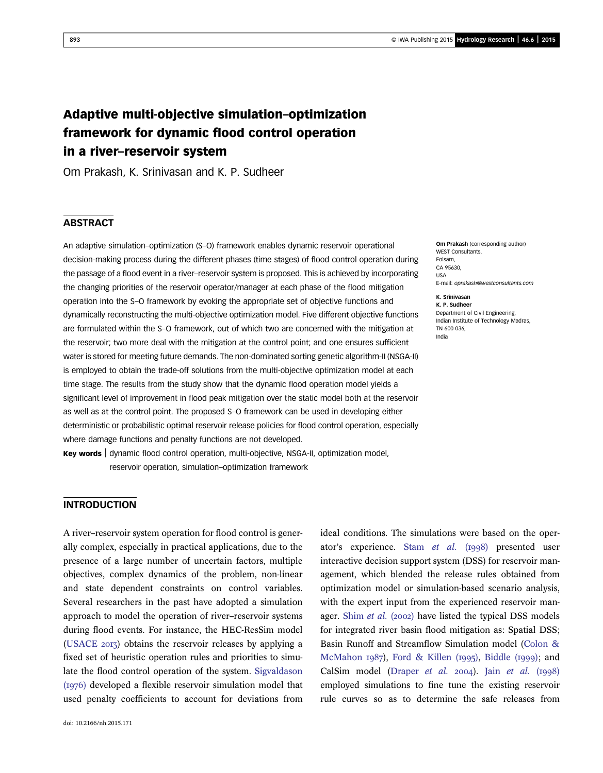# Adaptive multi-objective simulation–optimization framework for dynamic flood control operation in a river–reservoir system

Om Prakash, K. Srinivasan and K. P. Sudheer

# **ABSTRACT**

An adaptive simulation–optimization (S–O) framework enables dynamic reservoir operational decision-making process during the different phases (time stages) of flood control operation during the passage of a flood event in a river–reservoir system is proposed. This is achieved by incorporating the changing priorities of the reservoir operator/manager at each phase of the flood mitigation operation into the S–O framework by evoking the appropriate set of objective functions and dynamically reconstructing the multi-objective optimization model. Five different objective functions are formulated within the S–O framework, out of which two are concerned with the mitigation at the reservoir; two more deal with the mitigation at the control point; and one ensures sufficient water is stored for meeting future demands. The non-dominated sorting genetic algorithm-II (NSGA-II) is employed to obtain the trade-off solutions from the multi-objective optimization model at each time stage. The results from the study show that the dynamic flood operation model yields a significant level of improvement in flood peak mitigation over the static model both at the reservoir as well as at the control point. The proposed S–O framework can be used in developing either deterministic or probabilistic optimal reservoir release policies for flood control operation, especially where damage functions and penalty functions are not developed.

Key words | dynamic flood control operation, multi-objective, NSGA-II, optimization model, reservoir operation, simulation–optimization framework

Om Prakash (corresponding author) WEST Consultants, Folsam, CA 95630, USA E-mail: oprakash@westconsultants.com

K. Srinivasan K. P. Sudheer Department of Civil Engineering, Indian Institute of Technology Madras, TN 600 036, India

# **INTRODUCTION**

A river–reservoir system operation for flood control is generally complex, especially in practical applications, due to the presence of a large number of uncertain factors, multiple objectives, complex dynamics of the problem, non-linear and state dependent constraints on control variables. Several researchers in the past have adopted a simulation approach to model the operation of river–reservoir systems during flood events. For instance, the HEC-ResSim model (USACE 2013) obtains the reservoir releases by applying a fixed set of heuristic operation rules and priorities to simulate the flood control operation of the system. Sigvaldason  $(1976)$  developed a flexible reservoir simulation model that used penalty coefficients to account for deviations from ideal conditions. The simulations were based on the operator's experience. Stam et al. (1998) presented user interactive decision support system (DSS) for reservoir management, which blended the release rules obtained from optimization model or simulation-based scenario analysis, with the expert input from the experienced reservoir manager. Shim *et al.* (2002) have listed the typical DSS models for integrated river basin flood mitigation as: Spatial DSS; Basin Runoff and Streamflow Simulation model (Colon & McMahon  $1987$ ), Ford & Killen (1995), Biddle (1999); and CalSim model (Draper *et al.* 2004). Jain *et al.* (1998) employed simulations to fine tune the existing reservoir rule curves so as to determine the safe releases from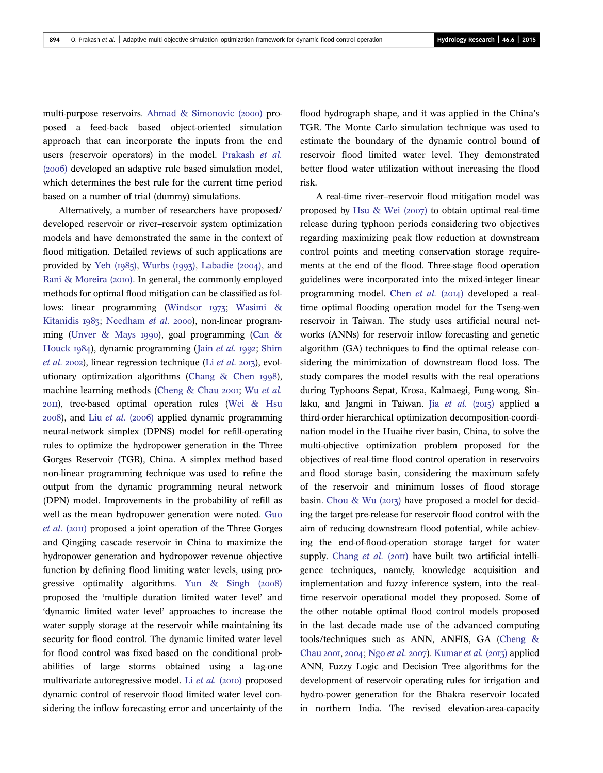multi-purpose reservoirs. Ahmad & Simonovic (2000) proposed a feed-back based object-oriented simulation approach that can incorporate the inputs from the end users (reservoir operators) in the model. Prakash *et al.* (2006) developed an adaptive rule based simulation model, which determines the best rule for the current time period based on a number of trial (dummy) simulations.

Alternatively, a number of researchers have proposed/ developed reservoir or river–reservoir system optimization models and have demonstrated the same in the context of flood mitigation. Detailed reviews of such applications are provided by Yeh ( $1985$ ), Wurbs ( $1993$ ), Labadie (2004), and Rani & Moreira (2010). In general, the commonly employed methods for optimal flood mitigation can be classified as follows: linear programming (Windsor 1973; Wasimi & Kitanidis 1983; Needham et al. 2000), non-linear programming (Unver & Mays 1990), goal programming (Can & Houck 1984), dynamic programming (Jain *et al.* 1992; Shim *et al.* 2002), linear regression technique (Li *et al.* 2013), evolutionary optimization algorithms (Chang  $\&$  Chen 1998), machine learning methods (Cheng & Chau 2001; Wu et al. ), tree-based optimal operation rules (Wei & Hsu 2008), and Liu *et al.* (2006) applied dynamic programming neural-network simplex (DPNS) model for refill-operating rules to optimize the hydropower generation in the Three Gorges Reservoir (TGR), China. A simplex method based non-linear programming technique was used to refine the output from the dynamic programming neural network (DPN) model. Improvements in the probability of refill as well as the mean hydropower generation were noted. Guo *et al.* (2011) proposed a joint operation of the Three Gorges and Qingjing cascade reservoir in China to maximize the hydropower generation and hydropower revenue objective function by defining flood limiting water levels, using progressive optimality algorithms. Yun & Singh (2008) proposed the 'multiple duration limited water level' and 'dynamic limited water level' approaches to increase the water supply storage at the reservoir while maintaining its security for flood control. The dynamic limited water level for flood control was fixed based on the conditional probabilities of large storms obtained using a lag-one multivariate autoregressive model. Li *et al.* (2010) proposed dynamic control of reservoir flood limited water level considering the inflow forecasting error and uncertainty of the flood hydrograph shape, and it was applied in the China's TGR. The Monte Carlo simulation technique was used to estimate the boundary of the dynamic control bound of reservoir flood limited water level. They demonstrated better flood water utilization without increasing the flood risk.

A real-time river–reservoir flood mitigation model was proposed by Hsu & Wei  $(2007)$  to obtain optimal real-time release during typhoon periods considering two objectives regarding maximizing peak flow reduction at downstream control points and meeting conservation storage requirements at the end of the flood. Three-stage flood operation guidelines were incorporated into the mixed-integer linear programming model. Chen *et al.* (2014) developed a realtime optimal flooding operation model for the Tseng-wen reservoir in Taiwan. The study uses artificial neural networks (ANNs) for reservoir inflow forecasting and genetic algorithm (GA) techniques to find the optimal release considering the minimization of downstream flood loss. The study compares the model results with the real operations during Typhoons Sepat, Krosa, Kalmaegi, Fung-wong, Sinlaku, and Jangmi in Taiwan. Jia et al. (2015) applied a third-order hierarchical optimization decomposition-coordination model in the Huaihe river basin, China, to solve the multi-objective optimization problem proposed for the objectives of real-time flood control operation in reservoirs and flood storage basin, considering the maximum safety of the reservoir and minimum losses of flood storage basin. Chou & Wu  $(2017)$  have proposed a model for deciding the target pre-release for reservoir flood control with the aim of reducing downstream flood potential, while achieving the end-of-flood-operation storage target for water supply. Chang *et al.* (2011) have built two artificial intelligence techniques, namely, knowledge acquisition and implementation and fuzzy inference system, into the realtime reservoir operational model they proposed. Some of the other notable optimal flood control models proposed in the last decade made use of the advanced computing tools/techniques such as ANN, ANFIS, GA (Cheng & Chau 2001, 2004; Ngo *et al.* 2007). Kumar *et al.* (2013) applied ANN, Fuzzy Logic and Decision Tree algorithms for the development of reservoir operating rules for irrigation and hydro-power generation for the Bhakra reservoir located in northern India. The revised elevation-area-capacity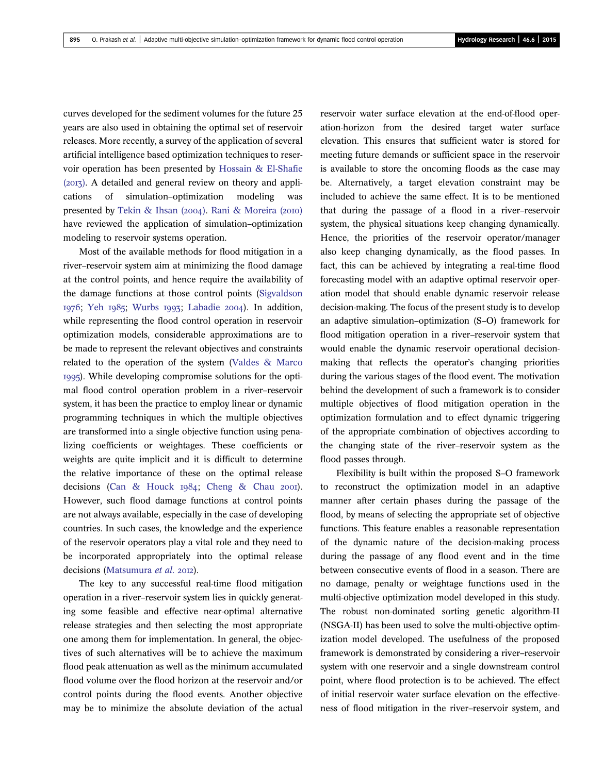curves developed for the sediment volumes for the future 25 years are also used in obtaining the optimal set of reservoir releases. More recently, a survey of the application of several artificial intelligence based optimization techniques to reservoir operation has been presented by Hossain & El-Shafie  $(20I_3)$ . A detailed and general review on theory and applications of simulation–optimization modeling was presented by Tekin & Ihsan (2004). Rani & Moreira (2010) have reviewed the application of simulation–optimization modeling to reservoir systems operation.

Most of the available methods for flood mitigation in a river–reservoir system aim at minimizing the flood damage at the control points, and hence require the availability of the damage functions at those control points (Sigvaldson 1976; Yeh 1985; Wurbs 1993; Labadie 2004). In addition, while representing the flood control operation in reservoir optimization models, considerable approximations are to be made to represent the relevant objectives and constraints related to the operation of the system (Valdes & Marco ). While developing compromise solutions for the optimal flood control operation problem in a river–reservoir system, it has been the practice to employ linear or dynamic programming techniques in which the multiple objectives are transformed into a single objective function using penalizing coefficients or weightages. These coefficients or weights are quite implicit and it is difficult to determine the relative importance of these on the optimal release decisions (Can & Houck  $1984$ ; Cheng & Chau 2001). However, such flood damage functions at control points are not always available, especially in the case of developing countries. In such cases, the knowledge and the experience of the reservoir operators play a vital role and they need to be incorporated appropriately into the optimal release decisions (Matsumura et al. 2012).

The key to any successful real-time flood mitigation operation in a river–reservoir system lies in quickly generating some feasible and effective near-optimal alternative release strategies and then selecting the most appropriate one among them for implementation. In general, the objectives of such alternatives will be to achieve the maximum flood peak attenuation as well as the minimum accumulated flood volume over the flood horizon at the reservoir and/or control points during the flood events. Another objective may be to minimize the absolute deviation of the actual reservoir water surface elevation at the end-of-flood operation-horizon from the desired target water surface elevation. This ensures that sufficient water is stored for meeting future demands or sufficient space in the reservoir is available to store the oncoming floods as the case may be. Alternatively, a target elevation constraint may be included to achieve the same effect. It is to be mentioned that during the passage of a flood in a river–reservoir system, the physical situations keep changing dynamically. Hence, the priorities of the reservoir operator/manager also keep changing dynamically, as the flood passes. In fact, this can be achieved by integrating a real-time flood forecasting model with an adaptive optimal reservoir operation model that should enable dynamic reservoir release decision-making. The focus of the present study is to develop an adaptive simulation–optimization (S–O) framework for flood mitigation operation in a river–reservoir system that would enable the dynamic reservoir operational decisionmaking that reflects the operator's changing priorities during the various stages of the flood event. The motivation behind the development of such a framework is to consider multiple objectives of flood mitigation operation in the optimization formulation and to effect dynamic triggering of the appropriate combination of objectives according to the changing state of the river–reservoir system as the flood passes through.

Flexibility is built within the proposed S–O framework to reconstruct the optimization model in an adaptive manner after certain phases during the passage of the flood, by means of selecting the appropriate set of objective functions. This feature enables a reasonable representation of the dynamic nature of the decision-making process during the passage of any flood event and in the time between consecutive events of flood in a season. There are no damage, penalty or weightage functions used in the multi-objective optimization model developed in this study. The robust non-dominated sorting genetic algorithm-II (NSGA-II) has been used to solve the multi-objective optimization model developed. The usefulness of the proposed framework is demonstrated by considering a river–reservoir system with one reservoir and a single downstream control point, where flood protection is to be achieved. The effect of initial reservoir water surface elevation on the effectiveness of flood mitigation in the river–reservoir system, and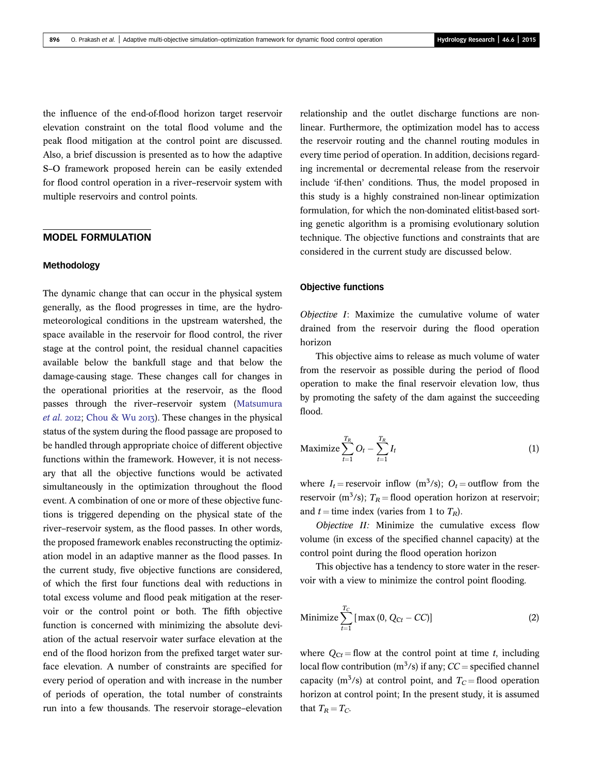the influence of the end-of-flood horizon target reservoir elevation constraint on the total flood volume and the peak flood mitigation at the control point are discussed. Also, a brief discussion is presented as to how the adaptive S–O framework proposed herein can be easily extended for flood control operation in a river–reservoir system with multiple reservoirs and control points.

### MODEL FORMULATION

### Methodology

The dynamic change that can occur in the physical system generally, as the flood progresses in time, are the hydrometeorological conditions in the upstream watershed, the space available in the reservoir for flood control, the river stage at the control point, the residual channel capacities available below the bankfull stage and that below the damage-causing stage. These changes call for changes in the operational priorities at the reservoir, as the flood passes through the river–reservoir system (Matsumura *et al.* 2012; Chou & Wu 2013). These changes in the physical status of the system during the flood passage are proposed to be handled through appropriate choice of different objective functions within the framework. However, it is not necessary that all the objective functions would be activated simultaneously in the optimization throughout the flood event. A combination of one or more of these objective functions is triggered depending on the physical state of the river–reservoir system, as the flood passes. In other words, the proposed framework enables reconstructing the optimization model in an adaptive manner as the flood passes. In the current study, five objective functions are considered, of which the first four functions deal with reductions in total excess volume and flood peak mitigation at the reservoir or the control point or both. The fifth objective function is concerned with minimizing the absolute deviation of the actual reservoir water surface elevation at the end of the flood horizon from the prefixed target water surface elevation. A number of constraints are specified for every period of operation and with increase in the number of periods of operation, the total number of constraints run into a few thousands. The reservoir storage–elevation relationship and the outlet discharge functions are nonlinear. Furthermore, the optimization model has to access the reservoir routing and the channel routing modules in every time period of operation. In addition, decisions regarding incremental or decremental release from the reservoir include 'if-then' conditions. Thus, the model proposed in this study is a highly constrained non-linear optimization formulation, for which the non-dominated elitist-based sorting genetic algorithm is a promising evolutionary solution technique. The objective functions and constraints that are considered in the current study are discussed below.

### Objective functions

*Objective I*: Maximize the cumulative volume of water drained from the reservoir during the flood operation horizon

This objective aims to release as much volume of water from the reservoir as possible during the period of flood operation to make the final reservoir elevation low, thus by promoting the safety of the dam against the succeeding flood.

$$
\text{Maximize } \sum_{t=1}^{T_R} O_t - \sum_{t=1}^{T_R} I_t \tag{1}
$$

where  $I_t$  = reservoir inflow (m<sup>3</sup>/s);  $O_t$  = outflow from the reservoir ( $m^3$ /s);  $T_R$  = flood operation horizon at reservoir; and  $t =$  time index (varies from 1 to  $T_R$ ).

*Objective II:* Minimize the cumulative excess flow volume (in excess of the specified channel capacity) at the control point during the flood operation horizon

This objective has a tendency to store water in the reservoir with a view to minimize the control point flooding.

Minimize 
$$
\sum_{t=1}^{T_C} [\max(0, Q_{Ct} - CC)]
$$
 (2)

where  $Q_{Ct}$  = flow at the control point at time *t*, including local flow contribution ( $m^3$ /s) if any;  $CC$  = specified channel capacity ( $m^3$ /s) at control point, and  $T_C =$  flood operation horizon at control point; In the present study, it is assumed that  $T_R = T_C$ .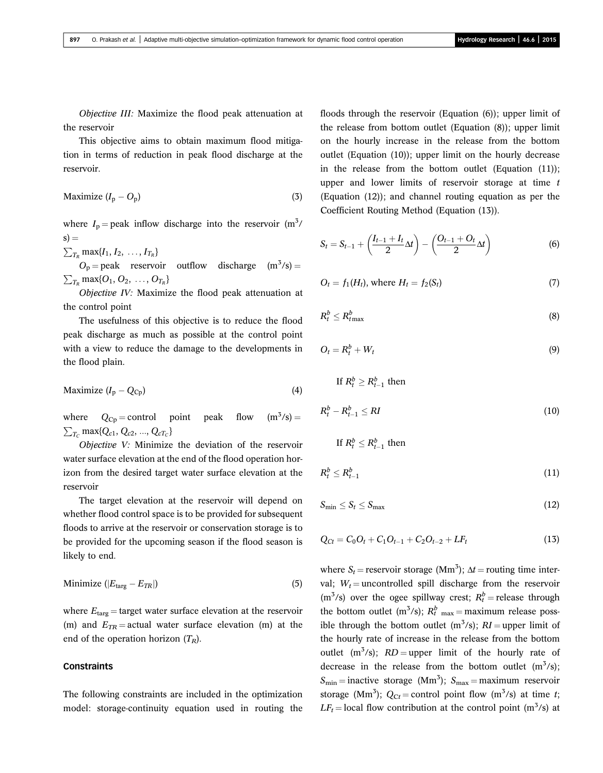*Objective III:* Maximize the flood peak attenuation at the reservoir

This objective aims to obtain maximum flood mitigation in terms of reduction in peak flood discharge at the reservoir.

$$
\text{Maximize } (I_{\text{p}} - O_{\text{p}}) \tag{3}
$$

where  $I_p$  = peak inflow discharge into the reservoir  $(m^3/m)$  $s) =$ 

 $\sum_{T_R} \max\{I_1, I_2, \ldots, I_{T_R}\}$ 

 $O_p$  = peak reservoir outflow discharge  $(m^3/s)$  =  $\sum_{T_R} \max\{O_1, O_2, \ldots, O_{T_R}\}$ 

*Objective IV:* Maximize the flood peak attenuation at the control point

The usefulness of this objective is to reduce the flood peak discharge as much as possible at the control point with a view to reduce the damage to the developments in the flood plain.

$$
Maximize (Ip - QCp) \t\t(4)
$$

where  $Q_{\text{Cp}} = \text{control}$  point peak flow  $(m^3/s) =$  $\sum_{T_C}$  max{ $Q_{c1}$ ,  $Q_{c2}$ , ...,  $Q_{cT_C}$ }

*Objective V:* Minimize the deviation of the reservoir water surface elevation at the end of the flood operation horizon from the desired target water surface elevation at the reservoir

The target elevation at the reservoir will depend on whether flood control space is to be provided for subsequent floods to arrive at the reservoir or conservation storage is to be provided for the upcoming season if the flood season is likely to end.

$$
Minimize (|E_{\text{targ}} - E_{TR}|) \tag{5}
$$

where  $E_{\text{targ}} =$  target water surface elevation at the reservoir (m) and  $E_{TR}$  = actual water surface elevation (m) at the end of the operation horizon (*TR*).

### **Constraints**

The following constraints are included in the optimization model: storage-continuity equation used in routing the floods through the reservoir (Equation (6)); upper limit of the release from bottom outlet (Equation (8)); upper limit on the hourly increase in the release from the bottom outlet (Equation (10)); upper limit on the hourly decrease in the release from the bottom outlet (Equation (11)); upper and lower limits of reservoir storage at time *t* (Equation (12)); and channel routing equation as per the Coefficient Routing Method (Equation (13)).

$$
S_t = S_{t-1} + \left(\frac{I_{t-1} + I_t}{2} \Delta t\right) - \left(\frac{O_{t-1} + O_t}{2} \Delta t\right)
$$
(6)

$$
O_t = f_1(H_t), \text{ where } H_t = f_2(S_t) \tag{7}
$$

$$
R_t^b \le R_{t\max}^b \tag{8}
$$

$$
O_t = R_t^b + W_t \tag{9}
$$

If 
$$
R_t^b \ge R_{t-1}^b
$$
 then  

$$
R_t^b - R_{t-1}^b \le RI \tag{10}
$$

If  $R_t^b \leq R_{t-1}^b$  then

$$
R_t^b \le R_{t-1}^b \tag{11}
$$

$$
S_{\min} \le S_t \le S_{\max} \tag{12}
$$

$$
Q_{Ct} = C_0O_t + C_1O_{t-1} + C_2O_{t-2} + LF_t
$$
\n(13)

where  $S_t$  = reservoir storage (Mm<sup>3</sup>);  $\Delta t$  = routing time interval;  $W_t$  = uncontrolled spill discharge from the reservoir ( $m^3$ /s) over the ogee spillway crest;  $R_t^b$  = release through the bottom outlet ( $m^3$ /s);  $R_t^b$ <sub>max</sub> = maximum release possible through the bottom outlet  $(m^3/s)$ ;  $RI =$ upper limit of the hourly rate of increase in the release from the bottom outlet  $(m^3/s)$ ;  $RD =$ upper limit of the hourly rate of decrease in the release from the bottom outlet  $(m^3/s)$ ;  $S_{\text{min}} = \text{inactive storage } (\text{Mm}^3); S_{\text{max}} = \text{maximum reservoir}$ storage (Mm<sup>3</sup>);  $Q_{Ct}$  = control point flow (m<sup>3</sup>/s) at time *t*;  $LF_t =$ local flow contribution at the control point (m<sup>3</sup>/s) at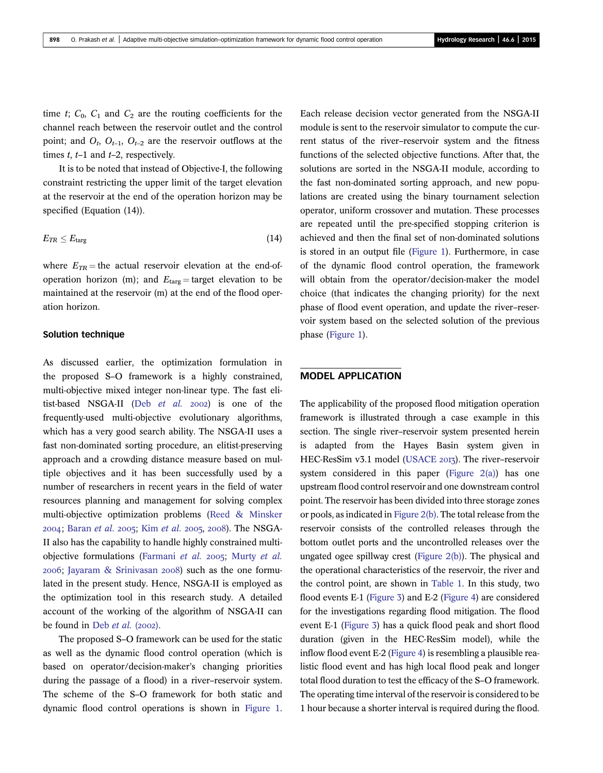time  $t$ ;  $C_0$ ,  $C_1$  and  $C_2$  are the routing coefficients for the channel reach between the reservoir outlet and the control point; and  $O_t$ ,  $O_{t-1}$ ,  $O_{t-2}$  are the reservoir outflows at the times *t*, *t*–1 and *t*–2, respectively.

It is to be noted that instead of Objective-I, the following constraint restricting the upper limit of the target elevation at the reservoir at the end of the operation horizon may be specified (Equation (14)).

$$
E_{TR} \le E_{\text{targ}} \tag{14}
$$

where  $E_{TR}$  = the actual reservoir elevation at the end-ofoperation horizon (m); and  $E_{\text{targ}} = \text{target}$  elevation to be maintained at the reservoir (m) at the end of the flood operation horizon.

### Solution technique

As discussed earlier, the optimization formulation in the proposed S–O framework is a highly constrained, multi-objective mixed integer non-linear type. The fast elitist-based NSGA-II (Deb *et al.* 2002) is one of the frequently-used multi-objective evolutionary algorithms, which has a very good search ability. The NSGA-II uses a fast non-dominated sorting procedure, an elitist-preserving approach and a crowding distance measure based on multiple objectives and it has been successfully used by a number of researchers in recent years in the field of water resources planning and management for solving complex multi-objective optimization problems (Reed & Minsker 2004; Baran *et al.* 2005; Kim *et al.* 2005, 2008). The NSGA-II also has the capability to handle highly constrained multiobjective formulations (Farmani *et al.* 2005; Murty *et al.* 2006; Jayaram & Srinivasan 2008) such as the one formulated in the present study. Hence, NSGA-II is employed as the optimization tool in this research study. A detailed account of the working of the algorithm of NSGA-II can be found in Deb *et al.* (2002).

The proposed S–O framework can be used for the static as well as the dynamic flood control operation (which is based on operator/decision-maker's changing priorities during the passage of a flood) in a river–reservoir system. The scheme of the S–O framework for both static and dynamic flood control operations is shown in Figure 1. Each release decision vector generated from the NSGA-II module is sent to the reservoir simulator to compute the current status of the river–reservoir system and the fitness functions of the selected objective functions. After that, the solutions are sorted in the NSGA-II module, according to the fast non-dominated sorting approach, and new populations are created using the binary tournament selection operator, uniform crossover and mutation. These processes are repeated until the pre-specified stopping criterion is achieved and then the final set of non-dominated solutions is stored in an output file (Figure 1). Furthermore, in case of the dynamic flood control operation, the framework will obtain from the operator/decision-maker the model choice (that indicates the changing priority) for the next phase of flood event operation, and update the river–reservoir system based on the selected solution of the previous phase (Figure 1).

# MODEL APPLICATION

The applicability of the proposed flood mitigation operation framework is illustrated through a case example in this section. The single river–reservoir system presented herein is adapted from the Hayes Basin system given in HEC-ResSim v3.1 model (USACE 2013). The river-reservoir system considered in this paper (Figure  $2(a)$ ) has one upstream flood control reservoir and one downstream control point. The reservoir has been divided into three storage zones or pools, as indicated in Figure 2(b). The total release from the reservoir consists of the controlled releases through the bottom outlet ports and the uncontrolled releases over the ungated ogee spillway crest (Figure 2(b)). The physical and the operational characteristics of the reservoir, the river and the control point, are shown in Table 1. In this study, two flood events E-1 (Figure 3) and E-2 (Figure 4) are considered for the investigations regarding flood mitigation. The flood event E-1 (Figure 3) has a quick flood peak and short flood duration (given in the HEC-ResSim model), while the inflow flood event E-2 (Figure 4) is resembling a plausible realistic flood event and has high local flood peak and longer total flood duration to test the efficacy of the S–O framework. The operating time interval of the reservoir is considered to be 1 hour because a shorter interval is required during the flood.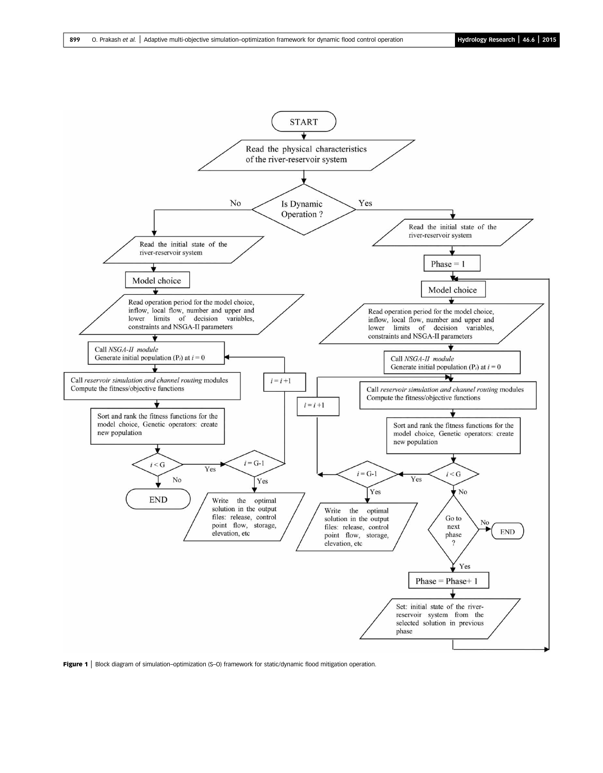

Figure 1 | Block diagram of simulation-optimization (S-O) framework for static/dynamic flood mitigation operation.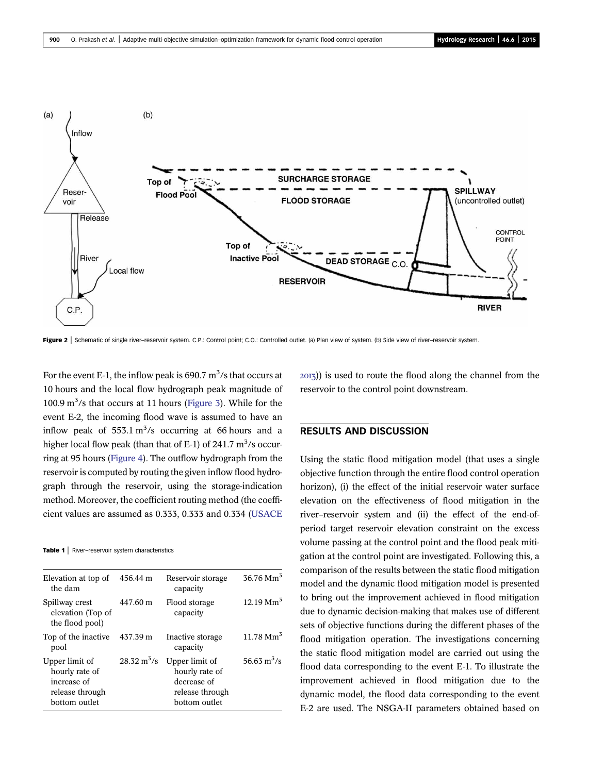

Figure 2 | Schematic of single river–reservoir system. C.P.: Control point; C.O.: Controlled outlet. (a) Plan view of system. (b) Side view of river–reservoir system.

For the event E-1, the inflow peak is 690.7  $m^3/s$  that occurs at 10 hours and the local flow hydrograph peak magnitude of 100.9  $\text{m}^3$ /s that occurs at 11 hours (Figure 3). While for the event E-2, the incoming flood wave is assumed to have an inflow peak of  $553.1 \text{ m}^3/\text{s}$  occurring at 66 hours and a higher local flow peak (than that of E-1) of 241.7  $\text{m}^3\text{/s}$  occurring at 95 hours (Figure 4). The outflow hydrograph from the reservoir is computed by routing the given inflow flood hydrograph through the reservoir, using the storage-indication method. Moreover, the coefficient routing method (the coefficient values are assumed as 0.333, 0.333 and 0.334 (USACE

Table 1 | River-reservoir system characteristics

| Elevation at top of<br>the dam                                                      | 456.44 m                     | Reservoir storage<br>capacity                                                       | $36.76$ Mm <sup>3</sup>         |
|-------------------------------------------------------------------------------------|------------------------------|-------------------------------------------------------------------------------------|---------------------------------|
| Spillway crest<br>elevation (Top of<br>the flood pool)                              | 447.60 m                     | Flood storage<br>capacity                                                           | $12.19 \text{ Mm}^3$            |
| Top of the inactive<br>pool                                                         | 437.39 m                     | Inactive storage<br>capacity                                                        | 11.78 Mm <sup>3</sup>           |
| Upper limit of<br>hourly rate of<br>increase of<br>release through<br>bottom outlet | $28.32 \text{ m}^3/\text{s}$ | Upper limit of<br>hourly rate of<br>decrease of<br>release through<br>bottom outlet | 56.63 $\mathrm{m}^3/\mathrm{s}$ |

 $(2013)$ ) is used to route the flood along the channel from the reservoir to the control point downstream.

# RESULTS AND DISCUSSION

Using the static flood mitigation model (that uses a single objective function through the entire flood control operation horizon), (i) the effect of the initial reservoir water surface elevation on the effectiveness of flood mitigation in the river–reservoir system and (ii) the effect of the end-ofperiod target reservoir elevation constraint on the excess volume passing at the control point and the flood peak mitigation at the control point are investigated. Following this, a comparison of the results between the static flood mitigation model and the dynamic flood mitigation model is presented to bring out the improvement achieved in flood mitigation due to dynamic decision-making that makes use of different sets of objective functions during the different phases of the flood mitigation operation. The investigations concerning the static flood mitigation model are carried out using the flood data corresponding to the event E-1. To illustrate the improvement achieved in flood mitigation due to the dynamic model, the flood data corresponding to the event E-2 are used. The NSGA-II parameters obtained based on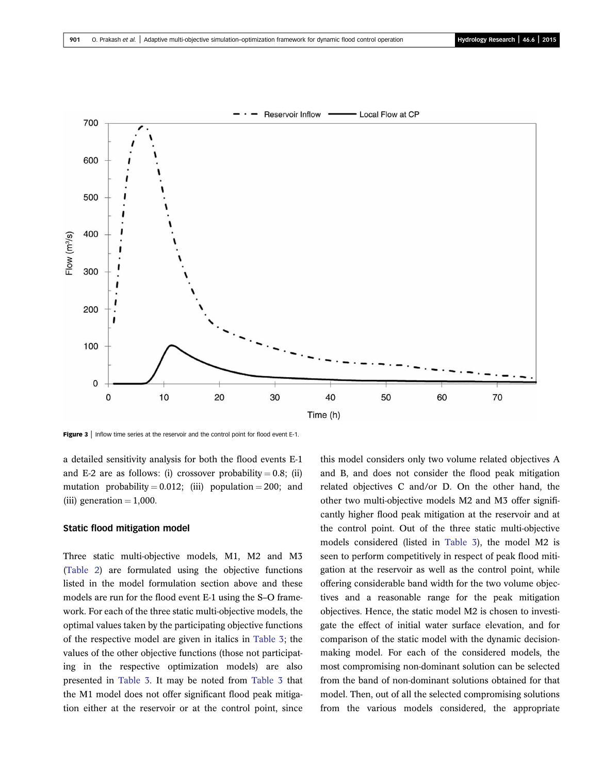

Figure 3 | Inflow time series at the reservoir and the control point for flood event E-1.

a detailed sensitivity analysis for both the flood events E-1 and E-2 are as follows: (i) crossover probability =  $0.8$ ; (ii) mutation probability = 0.012; (iii) population = 200; and (iii) generation  $= 1,000$ .

### Static flood mitigation model

Three static multi-objective models, M1, M2 and M3 (Table 2) are formulated using the objective functions listed in the model formulation section above and these models are run for the flood event E-1 using the S–O framework. For each of the three static multi-objective models, the optimal values taken by the participating objective functions of the respective model are given in italics in Table 3; the values of the other objective functions (those not participating in the respective optimization models) are also presented in Table 3. It may be noted from Table 3 that the M1 model does not offer significant flood peak mitigation either at the reservoir or at the control point, since this model considers only two volume related objectives A and B, and does not consider the flood peak mitigation related objectives C and/or D. On the other hand, the other two multi-objective models M2 and M3 offer significantly higher flood peak mitigation at the reservoir and at the control point. Out of the three static multi-objective models considered (listed in Table 3), the model M2 is seen to perform competitively in respect of peak flood mitigation at the reservoir as well as the control point, while offering considerable band width for the two volume objectives and a reasonable range for the peak mitigation objectives. Hence, the static model M2 is chosen to investigate the effect of initial water surface elevation, and for comparison of the static model with the dynamic decisionmaking model. For each of the considered models, the most compromising non-dominant solution can be selected from the band of non-dominant solutions obtained for that model. Then, out of all the selected compromising solutions from the various models considered, the appropriate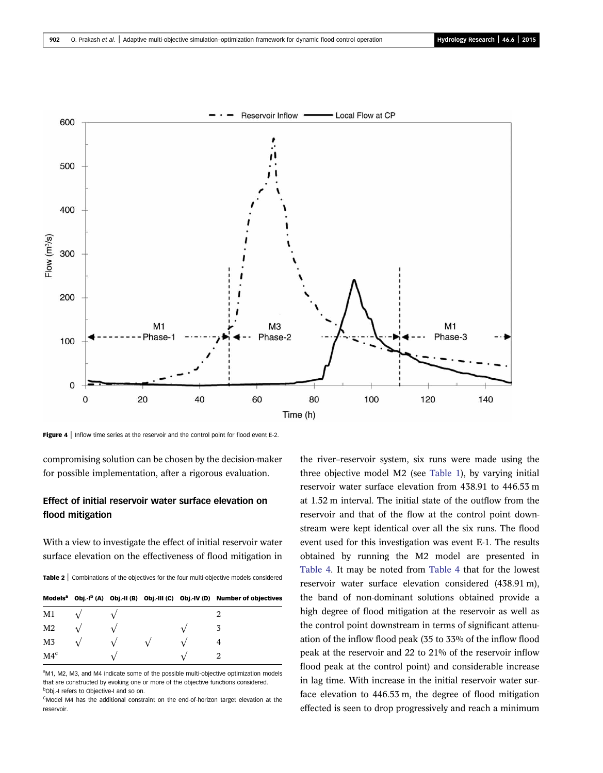

Figure 4 | Inflow time series at the reservoir and the control point for flood event E-2.

compromising solution can be chosen by the decision-maker for possible implementation, after a rigorous evaluation.

# Effect of initial reservoir water surface elevation on flood mitigation

With a view to investigate the effect of initial reservoir water surface elevation on the effectiveness of flood mitigation in

Table 2 | Combinations of the objectives for the four multi-objective models considered

| Models <sup>a</sup> Obj.-I <sup>b</sup> (A) Obj.-II (B) Obj.-III (C) Obj.-IV (D) Number of objectives |  |  |  |  |  |
|-------------------------------------------------------------------------------------------------------|--|--|--|--|--|
|-------------------------------------------------------------------------------------------------------|--|--|--|--|--|

| M <sub>1</sub>  | $\triangleleft$ |  |  |  |
|-----------------|-----------------|--|--|--|
| M <sub>2</sub>  |                 |  |  |  |
| M <sub>3</sub>  |                 |  |  |  |
| M4 <sup>c</sup> |                 |  |  |  |

<sup>a</sup>M1, M2, M3, and M4 indicate some of the possible multi-objective optimization models that are constructed by evoking one or more of the objective functions considered. b<sub>Obj.-I</sub> refers to Objective-I and so on.

<sup>C</sup>Model M4 has the additional constraint on the end-of-horizon target elevation at the reservoir.

the river–reservoir system, six runs were made using the three objective model M2 (see Table 1), by varying initial reservoir water surface elevation from 438.91 to 446.53 m at 1.52 m interval. The initial state of the outflow from the reservoir and that of the flow at the control point downstream were kept identical over all the six runs. The flood event used for this investigation was event E-1. The results obtained by running the M2 model are presented in Table 4. It may be noted from Table 4 that for the lowest reservoir water surface elevation considered (438.91 m), the band of non-dominant solutions obtained provide a high degree of flood mitigation at the reservoir as well as the control point downstream in terms of significant attenuation of the inflow flood peak (35 to 33% of the inflow flood peak at the reservoir and 22 to 21% of the reservoir inflow flood peak at the control point) and considerable increase in lag time. With increase in the initial reservoir water surface elevation to 446.53 m, the degree of flood mitigation effected is seen to drop progressively and reach a minimum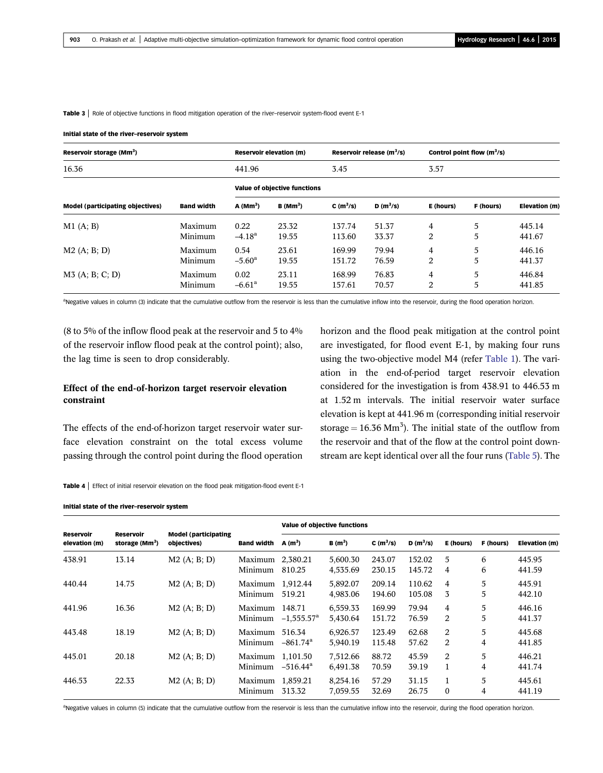#### Table 3 | Role of objective functions in flood mitigation operation of the river–reservoir system-flood event E-1

#### Initial state of the river–reservoir system

| Reservoir storage (Mm <sup>3</sup> )    |                    | <b>Reservoir elevation (m)</b> |                                     | Reservoir release $(m^3/s)$ |                | Control point flow $(m^3/s)$ |           |                  |  |  |
|-----------------------------------------|--------------------|--------------------------------|-------------------------------------|-----------------------------|----------------|------------------------------|-----------|------------------|--|--|
| 16.36                                   |                    | 441.96                         |                                     | 3.45                        |                |                              | 3.57      |                  |  |  |
|                                         |                    |                                | <b>Value of objective functions</b> |                             |                |                              |           |                  |  |  |
| <b>Model (participating objectives)</b> | <b>Band width</b>  | $A$ (Mm <sup>3</sup> )         | $B$ (Mm <sup>3</sup> )              | C $(m^3/s)$                 | $D(m^3/s)$     | E (hours)                    | F (hours) | Elevation (m)    |  |  |
| M1(A; B)                                | Maximum<br>Minimum | 0.22<br>$-4.18^{\rm a}$        | 23.32<br>19.55                      | 137.74<br>113.60            | 51.37<br>33.37 | 4<br>2                       | 5<br>5    | 445.14<br>441.67 |  |  |
| M2(A; B; D)                             | Maximum<br>Minimum | 0.54<br>$-5.60^{\rm a}$        | 23.61<br>19.55                      | 169.99<br>151.72            | 79.94<br>76.59 | 4<br>2                       | 5<br>5    | 446.16<br>441.37 |  |  |
| $M3$ (A; B; C; D)                       | Maximum<br>Minimum | 0.02<br>$-6.61^{\rm a}$        | 23.11<br>19.55                      | 168.99<br>157.61            | 76.83<br>70.57 | 4<br>2                       | 5<br>5    | 446.84<br>441.85 |  |  |

<sup>a</sup>Negative values in column (3) indicate that the cumulative outflow from the reservoir is less than the cumulative inflow into the reservoir, during the flood operation horizon.

(8 to 5% of the inflow flood peak at the reservoir and 5 to  $4\%$ of the reservoir inflow flood peak at the control point); also, the lag time is seen to drop considerably.

## Effect of the end-of-horizon target reservoir elevation constraint

The effects of the end-of-horizon target reservoir water surface elevation constraint on the total excess volume passing through the control point during the flood operation horizon and the flood peak mitigation at the control point are investigated, for flood event E-1, by making four runs using the two-objective model M4 (refer Table 1). The variation in the end-of-period target reservoir elevation considered for the investigation is from 438.91 to 446.53 m at 1.52 m intervals. The initial reservoir water surface elevation is kept at 441.96 m (corresponding initial reservoir storage =  $16.36$  Mm<sup>3</sup>). The initial state of the outflow from the reservoir and that of the flow at the control point downstream are kept identical over all the four runs (Table 5). The

Table 4 | Effect of initial reservoir elevation on the flood peak mitigation-flood event E-1

#### Initial state of the river–reservoir system

|                                   |                                                |                                            |                    | <b>Value of objective functions</b> |                      |                  |                  |               |           |                  |
|-----------------------------------|------------------------------------------------|--------------------------------------------|--------------------|-------------------------------------|----------------------|------------------|------------------|---------------|-----------|------------------|
| <b>Reservoir</b><br>elevation (m) | <b>Reservoir</b><br>storage (Mm <sup>3</sup> ) | <b>Model (participating</b><br>objectives) | <b>Band width</b>  | A(m <sup>3</sup> )                  | $B(m^3)$             | $C(m^3/s)$       | D ( $m^3/s$ )    | E (hours)     | F (hours) | Elevation (m)    |
| 438.91                            | 13.14                                          | M2(A; B; D)                                | Maximum<br>Minimum | 2,380.21<br>810.25                  | 5,600.30<br>4,535.69 | 243.07<br>230.15 | 152.02<br>145.72 | .5<br>4       | 6<br>6    | 445.95<br>441.59 |
| 440.44                            | 14.75                                          | M2(A; B; D)                                | Maximum<br>Minimum | 1,912.44<br>519.21                  | 5,892.07<br>4,983.06 | 209.14<br>194.60 | 110.62<br>105.08 | 4<br>3        | 5<br>5    | 445.91<br>442.10 |
| 441.96                            | 16.36                                          | M2(A; B; D)                                | Maximum<br>Minimum | 148.71<br>$-1,555.57$ <sup>a</sup>  | 6,559.33<br>5,430.64 | 169.99<br>151.72 | 79.94<br>76.59   | 4<br>2        | 5<br>5    | 446.16<br>441.37 |
| 443.48                            | 18.19                                          | M2(A; B; D)                                | Maximum<br>Minimum | 516.34<br>$-861.74$ <sup>a</sup>    | 6,926.57<br>5,940.19 | 123.49<br>115.48 | 62.68<br>57.62   | 2<br>2        | 5<br>4    | 445.68<br>441.85 |
| 445.01                            | 20.18                                          | M2(A; B; D)                                | Maximum<br>Minimum | 1,101.50<br>$-516.44$ <sup>a</sup>  | 7,512.66<br>6,491.38 | 88.72<br>70.59   | 45.59<br>39.19   | 2<br>1        | 5<br>4    | 446.21<br>441.74 |
| 446.53                            | 22.33                                          | M2(A; B; D)                                | Maximum<br>Minimum | 1,859.21<br>313.32                  | 8,254.16<br>7,059.55 | 57.29<br>32.69   | 31.15<br>26.75   | 1<br>$\theta$ | 5<br>4    | 445.61<br>441.19 |

aNegative values in column (5) indicate that the cumulative outflow from the reservoir is less than the cumulative inflow into the reservoir, during the flood operation horizon.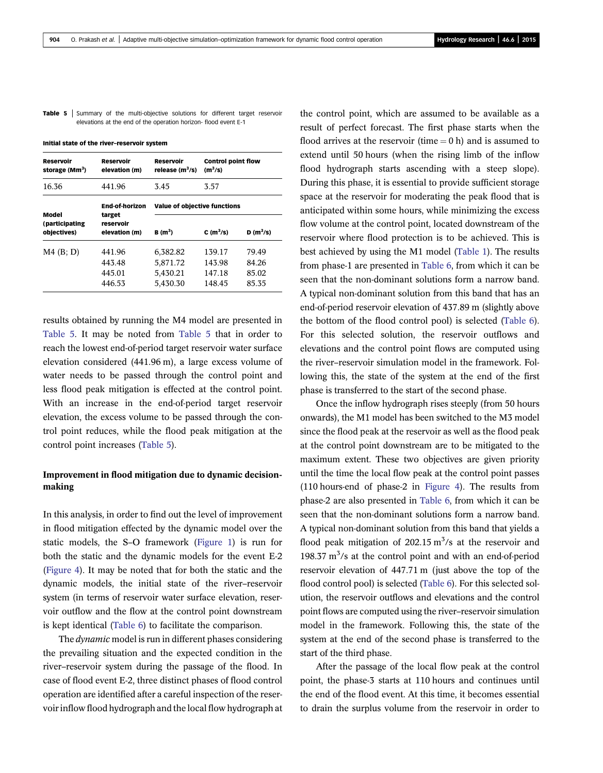|  |  | Table 5 Summary of the multi-objective solutions for different target reservoir |  |  |  |
|--|--|---------------------------------------------------------------------------------|--|--|--|
|  |  | elevations at the end of the operation horizon- flood event E-1                 |  |  |  |

Initial state of the river–reservoir system

| <b>Reservoir</b><br>storage $(Mm3)$    | <b>Reservoir</b><br>elevation (m)    | <b>Reservoir</b><br>release $(m^3/s)$        | <b>Control point flow</b><br>$(m^3/s)$ |                                  |  |  |  |
|----------------------------------------|--------------------------------------|----------------------------------------------|----------------------------------------|----------------------------------|--|--|--|
| 16.36                                  | 441.96                               | 3.45                                         | 3.57                                   |                                  |  |  |  |
|                                        | <b>End-of-horizon</b>                | <b>Value of objective functions</b>          |                                        |                                  |  |  |  |
| Model<br>(participating<br>objectives) | target<br>reservoir<br>elevation (m) | $B(m^3)$                                     | C $(m^3/s)$                            | $D(m^3/s)$                       |  |  |  |
| $M4$ (B; D)                            | 441.96<br>443.48<br>445.01<br>446.53 | 6,382.82<br>5,871.72<br>5,430.21<br>5,430.30 | 139.17<br>143.98<br>147.18<br>148.45   | 79.49<br>84.26<br>85.02<br>85.35 |  |  |  |

results obtained by running the M4 model are presented in Table 5. It may be noted from Table 5 that in order to reach the lowest end-of-period target reservoir water surface elevation considered (441.96 m), a large excess volume of water needs to be passed through the control point and less flood peak mitigation is effected at the control point. With an increase in the end-of-period target reservoir elevation, the excess volume to be passed through the control point reduces, while the flood peak mitigation at the control point increases (Table 5).

# Improvement in flood mitigation due to dynamic decisionmaking

In this analysis, in order to find out the level of improvement in flood mitigation effected by the dynamic model over the static models, the S–O framework (Figure 1) is run for both the static and the dynamic models for the event E-2 (Figure 4). It may be noted that for both the static and the dynamic models, the initial state of the river–reservoir system (in terms of reservoir water surface elevation, reservoir outflow and the flow at the control point downstream is kept identical (Table 6) to facilitate the comparison.

The *dynamic* model is run in different phases considering the prevailing situation and the expected condition in the river–reservoir system during the passage of the flood. In case of flood event E-2, three distinct phases of flood control operation are identified after a careful inspection of the reservoir inflow flood hydrograph and the local flow hydrograph at the control point, which are assumed to be available as a result of perfect forecast. The first phase starts when the flood arrives at the reservoir (time  $= 0$  h) and is assumed to extend until 50 hours (when the rising limb of the inflow flood hydrograph starts ascending with a steep slope). During this phase, it is essential to provide sufficient storage space at the reservoir for moderating the peak flood that is anticipated within some hours, while minimizing the excess flow volume at the control point, located downstream of the reservoir where flood protection is to be achieved. This is best achieved by using the M1 model (Table 1). The results from phase-1 are presented in Table 6, from which it can be seen that the non-dominant solutions form a narrow band. A typical non-dominant solution from this band that has an end-of-period reservoir elevation of 437.89 m (slightly above the bottom of the flood control pool) is selected (Table 6). For this selected solution, the reservoir outflows and elevations and the control point flows are computed using the river–reservoir simulation model in the framework. Following this, the state of the system at the end of the first phase is transferred to the start of the second phase.

Once the inflow hydrograph rises steeply (from 50 hours onwards), the M1 model has been switched to the M3 model since the flood peak at the reservoir as well as the flood peak at the control point downstream are to be mitigated to the maximum extent. These two objectives are given priority until the time the local flow peak at the control point passes (110 hours-end of phase-2 in Figure 4). The results from phase-2 are also presented in Table 6, from which it can be seen that the non-dominant solutions form a narrow band. A typical non-dominant solution from this band that yields a flood peak mitigation of 202.15  $\text{m}^3$ /s at the reservoir and 198.37  $m^3$ /s at the control point and with an end-of-period reservoir elevation of 447.71 m (just above the top of the flood control pool) is selected (Table 6). For this selected solution, the reservoir outflows and elevations and the control point flows are computed using the river–reservoir simulation model in the framework. Following this, the state of the system at the end of the second phase is transferred to the start of the third phase.

After the passage of the local flow peak at the control point, the phase-3 starts at 110 hours and continues until the end of the flood event. At this time, it becomes essential to drain the surplus volume from the reservoir in order to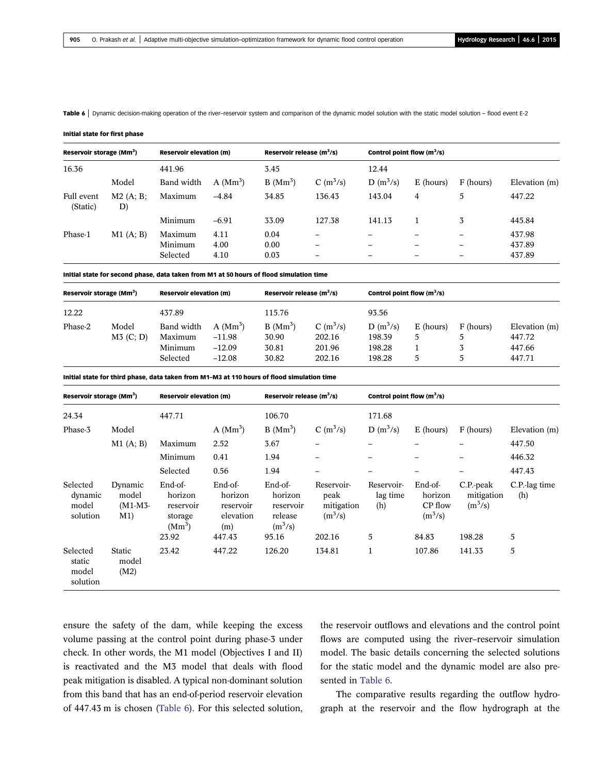Table 6 | Dynamic decision-making operation of the river-reservoir system and comparison of the dynamic model solution with the static model solution – flood event E-2

#### Initial state for first phase

| <b>Reservoir elevation (m)</b> |                                                        | Reservoir release $(m^3/s)$        |             | Control point flow $(m^3/s)$ |           |                            |  |
|--------------------------------|--------------------------------------------------------|------------------------------------|-------------|------------------------------|-----------|----------------------------|--|
|                                | 3.45                                                   |                                    | 12.44       |                              |           |                            |  |
| A (Mm <sup>3</sup> )           | $B(Mm^3)$                                              | $C (m^3/s)$                        | D $(m^3/s)$ | E (hours)                    | F (hours) | Elevation (m)              |  |
| $-4.84$                        | 34.85                                                  | 136.43                             | 143.04      | $\overline{4}$               | 5         | 447.22                     |  |
| $-6.91$                        | 33.09                                                  | 127.38                             | 141.13      |                              | 3         | 445.84                     |  |
| 4.11<br>4.00<br>4.10           | 0.04<br>0.00<br>0.03                                   | $\qquad \qquad$<br>$\qquad \qquad$ | -           |                              |           | 437.98<br>437.89<br>437.89 |  |
|                                | Band width<br>Maximum<br>Minimum<br>Maximum<br>Minimum |                                    |             |                              |           |                            |  |

Initial state for second phase, data taken from M1 at 50 hours of flood simulation time

| Reservoir storage (Mm <sup>3</sup> ) | Reservoir elevation (m)                      |                                                          |                                      | Reservoir release $(m^3/s)$               |                                           | Control point flow $(m^3/s)$ |                |                                             |  |
|--------------------------------------|----------------------------------------------|----------------------------------------------------------|--------------------------------------|-------------------------------------------|-------------------------------------------|------------------------------|----------------|---------------------------------------------|--|
| 12.22                                | 437.89                                       |                                                          | 115.76                               |                                           | 93.56                                     |                              |                |                                             |  |
| Phase-2<br>Model<br>$M3$ (C; D)      | Band width<br>Maximum<br>Minimum<br>Selected | A (Mm <sup>3</sup> )<br>$-11.98$<br>$-12.09$<br>$-12.08$ | $B(Mm^3)$<br>30.90<br>30.81<br>30.82 | $C (m^3/s)$<br>202.16<br>201.96<br>202.16 | D $(m^3/s)$<br>198.39<br>198.28<br>198.28 | E (hours)<br>5               | F (hours)<br>5 | Elevation (m)<br>447.72<br>447.66<br>447.71 |  |

Initial state for third phase, data taken from M1–M3 at 110 hours of flood simulation time

| Reservoir storage (Mm <sup>3</sup> )     |                                     | Reservoir elevation (m)                                |                                                     | Reservoir release $(m^3/s)$                             |                                               | Control point flow $(m^3/s)$  |                                            |                                      |                      |
|------------------------------------------|-------------------------------------|--------------------------------------------------------|-----------------------------------------------------|---------------------------------------------------------|-----------------------------------------------|-------------------------------|--------------------------------------------|--------------------------------------|----------------------|
| 24.34                                    |                                     | 447.71                                                 |                                                     | 106.70                                                  |                                               | 171.68                        |                                            |                                      |                      |
| Phase-3                                  | Model                               |                                                        | A (Mm <sup>3</sup> )                                | $B(Mm^3)$                                               | $C(m^3/s)$                                    | $D(m^3/s)$                    | $E$ (hours)                                | F (hours)                            | Elevation (m)        |
|                                          | M1(A; B)                            | Maximum                                                | 2.52                                                | 3.67                                                    |                                               |                               |                                            |                                      | 447.50               |
|                                          |                                     | Minimum                                                | 0.41                                                | 1.94                                                    | $\overline{\phantom{0}}$                      |                               |                                            |                                      | 446.32               |
|                                          |                                     | Selected                                               | 0.56                                                | 1.94                                                    |                                               |                               |                                            |                                      | 447.43               |
| Selected<br>dynamic<br>model<br>solution | Dynamic<br>model<br>$(M1-M3$<br>M1) | End-of-<br>horizon<br>reservoir<br>storage<br>$(Mm^3)$ | End-of-<br>horizon<br>reservoir<br>elevation<br>(m) | End-of-<br>horizon<br>reservoir<br>release<br>$(m^3/s)$ | Reservoir-<br>peak<br>mitigation<br>$(m^3/s)$ | Reservoir-<br>lag time<br>(h) | End-of-<br>horizon<br>CP flow<br>$(m^3/s)$ | C.P.-peak<br>mitigation<br>$(m^3/s)$ | C.P.-lag time<br>(h) |
|                                          |                                     | 23.92                                                  | 447.43                                              | 95.16                                                   | 202.16                                        | 5                             | 84.83                                      | 198.28                               | 5                    |
| Selected<br>static<br>model<br>solution  | Static<br>model<br>(M2)             | 23.42                                                  | 447.22                                              | 126.20                                                  | 134.81                                        | 1                             | 107.86                                     | 141.33                               | 5                    |

ensure the safety of the dam, while keeping the excess volume passing at the control point during phase-3 under check. In other words, the M1 model (Objectives I and II) is reactivated and the M3 model that deals with flood peak mitigation is disabled. A typical non-dominant solution from this band that has an end-of-period reservoir elevation of 447.43 m is chosen (Table 6). For this selected solution, the reservoir outflows and elevations and the control point flows are computed using the river–reservoir simulation model. The basic details concerning the selected solutions for the static model and the dynamic model are also presented in Table 6.

The comparative results regarding the outflow hydrograph at the reservoir and the flow hydrograph at the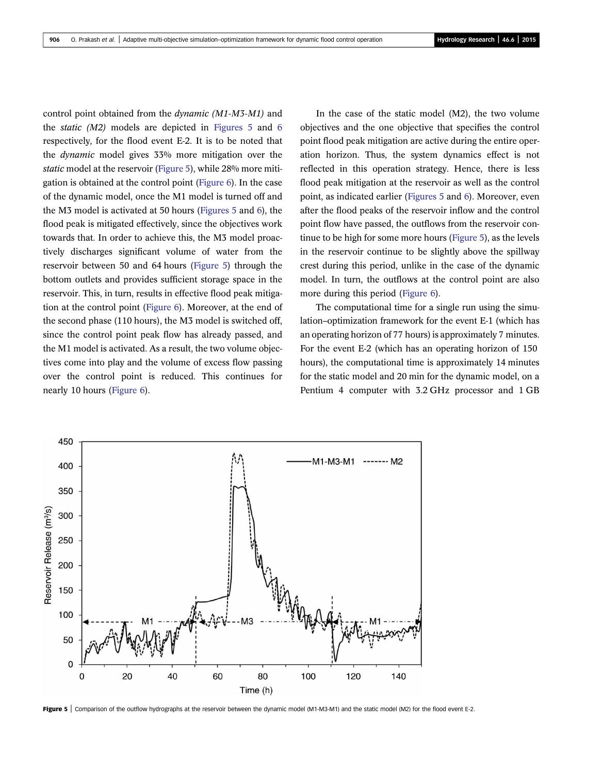control point obtained from the *dynamic (M1-M3-M1)* and the *static (M2)* models are depicted in Figures 5 and 6 respectively, for the flood event E-2. It is to be noted that the *dynamic* model gives 33% more mitigation over the *static* model at the reservoir (Figure 5), while 28% more mitigation is obtained at the control point (Figure 6). In the case of the dynamic model, once the M1 model is turned off and the M3 model is activated at 50 hours (Figures 5 and 6), the flood peak is mitigated effectively, since the objectives work towards that. In order to achieve this, the M3 model proactively discharges significant volume of water from the reservoir between 50 and 64 hours (Figure 5) through the bottom outlets and provides sufficient storage space in the reservoir. This, in turn, results in effective flood peak mitigation at the control point (Figure 6). Moreover, at the end of the second phase (110 hours), the M3 model is switched off, since the control point peak flow has already passed, and the M1 model is activated. As a result, the two volume objectives come into play and the volume of excess flow passing over the control point is reduced. This continues for nearly 10 hours (Figure 6).

In the case of the static model (M2), the two volume objectives and the one objective that specifies the control point flood peak mitigation are active during the entire operation horizon. Thus, the system dynamics effect is not reflected in this operation strategy. Hence, there is less flood peak mitigation at the reservoir as well as the control point, as indicated earlier (Figures 5 and 6). Moreover, even after the flood peaks of the reservoir inflow and the control point flow have passed, the outflows from the reservoir continue to be high for some more hours (Figure 5), as the levels in the reservoir continue to be slightly above the spillway crest during this period, unlike in the case of the dynamic model. In turn, the outflows at the control point are also more during this period (Figure 6).

The computational time for a single run using the simulation–optimization framework for the event E-1 (which has an operating horizon of 77 hours) is approximately 7 minutes. For the event E-2 (which has an operating horizon of 150 hours), the computational time is approximately 14 minutes for the static model and 20 min for the dynamic model, on a Pentium 4 computer with 3.2 GHz processor and 1 GB



Figure 5 | Comparison of the outflow hydrographs at the reservoir between the dynamic model (M1-M3-M1) and the static model (M2) for the flood event E-2.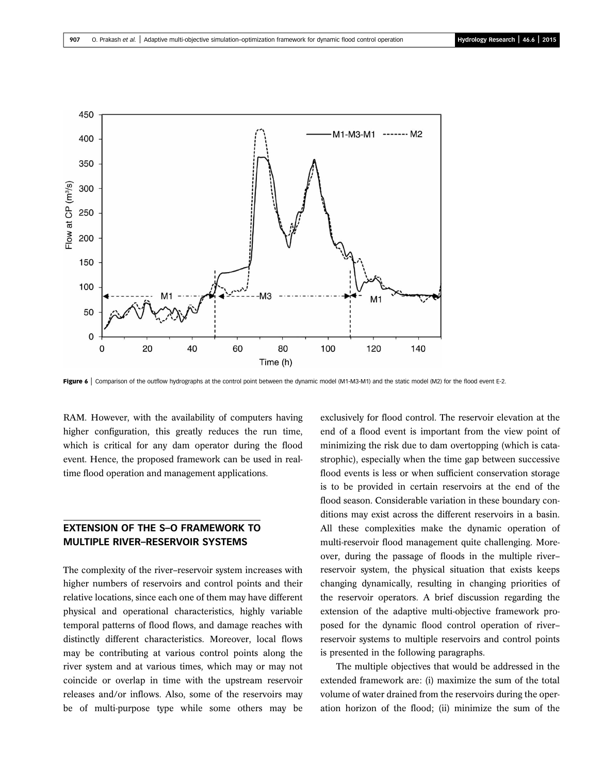

Figure 6 | Comparison of the outflow hydrographs at the control point between the dynamic model (M1-M3-M1) and the static model (M2) for the flood event E-2.

RAM. However, with the availability of computers having higher configuration, this greatly reduces the run time, which is critical for any dam operator during the flood event. Hence, the proposed framework can be used in realtime flood operation and management applications.

# EXTENSION OF THE S–O FRAMEWORK TO MULTIPLE RIVER–RESERVOIR SYSTEMS

The complexity of the river–reservoir system increases with higher numbers of reservoirs and control points and their relative locations, since each one of them may have different physical and operational characteristics, highly variable temporal patterns of flood flows, and damage reaches with distinctly different characteristics. Moreover, local flows may be contributing at various control points along the river system and at various times, which may or may not coincide or overlap in time with the upstream reservoir releases and/or inflows. Also, some of the reservoirs may be of multi-purpose type while some others may be

exclusively for flood control. The reservoir elevation at the end of a flood event is important from the view point of minimizing the risk due to dam overtopping (which is catastrophic), especially when the time gap between successive flood events is less or when sufficient conservation storage is to be provided in certain reservoirs at the end of the flood season. Considerable variation in these boundary conditions may exist across the different reservoirs in a basin. All these complexities make the dynamic operation of multi-reservoir flood management quite challenging. Moreover, during the passage of floods in the multiple river– reservoir system, the physical situation that exists keeps changing dynamically, resulting in changing priorities of the reservoir operators. A brief discussion regarding the extension of the adaptive multi-objective framework proposed for the dynamic flood control operation of river– reservoir systems to multiple reservoirs and control points is presented in the following paragraphs.

The multiple objectives that would be addressed in the extended framework are: (i) maximize the sum of the total volume of water drained from the reservoirs during the operation horizon of the flood; (ii) minimize the sum of the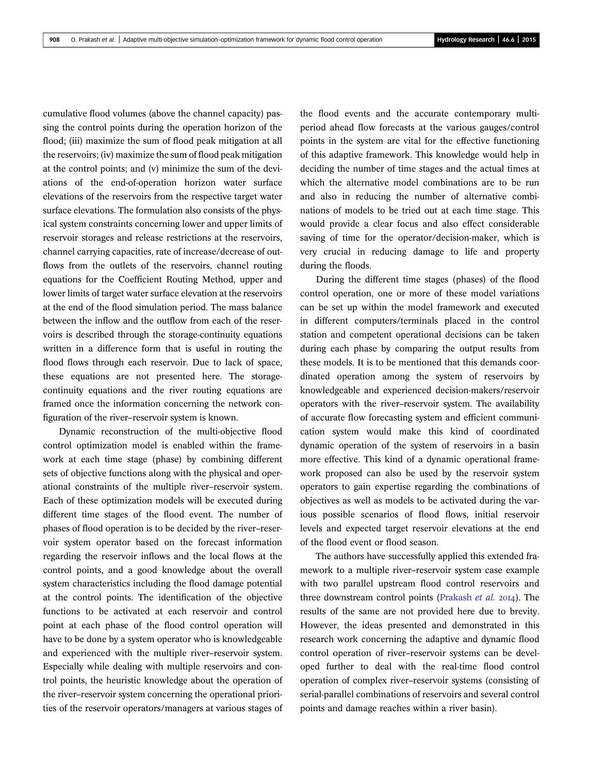cumulative flood volumes (above the channel capacity) passing the control points during the operation horizon of the flood; (iii) maximize the sum of flood peak mitigation at all the reservoirs; (iv) maximize the sum of flood peak mitigation at the control points; and (v) minimize the sum of the deviations of the end-of-operation horizon water surface elevations of the reservoirs from the respective target water surface elevations. The formulation also consists of the physical system constraints concerning lower and upper limits of reservoir storages and release restrictions at the reservoirs, channel carrying capacities, rate of increase/decrease of outflows from the outlets of the reservoirs, channel routing equations for the Coefficient Routing Method, upper and lower limits of target water surface elevation at the reservoirs at the end of the flood simulation period. The mass balance between the inflow and the outflow from each of the reservoirs is described through the storage-continuity equations written in a difference form that is useful in routing the flood flows through each reservoir. Due to lack of space, these equations are not presented here. The storagecontinuity equations and the river routing equations are framed once the information concerning the network configuration of the river–reservoir system is known.

Dynamic reconstruction of the multi-objective flood control optimization model is enabled within the framework at each time stage (phase) by combining different sets of objective functions along with the physical and operational constraints of the multiple river–reservoir system. Each of these optimization models will be executed during different time stages of the flood event. The number of phases of flood operation is to be decided by the river–reservoir system operator based on the forecast information regarding the reservoir inflows and the local flows at the control points, and a good knowledge about the overall system characteristics including the flood damage potential at the control points. The identification of the objective functions to be activated at each reservoir and control point at each phase of the flood control operation will have to be done by a system operator who is knowledgeable and experienced with the multiple river–reservoir system. Especially while dealing with multiple reservoirs and control points, the heuristic knowledge about the operation of the river–reservoir system concerning the operational priorities of the reservoir operators/managers at various stages of the flood events and the accurate contemporary multiperiod ahead flow forecasts at the various gauges/control points in the system are vital for the effective functioning of this adaptive framework. This knowledge would help in deciding the number of time stages and the actual times at which the alternative model combinations are to be run and also in reducing the number of alternative combinations of models to be tried out at each time stage. This would provide a clear focus and also effect considerable saving of time for the operator/decision-maker, which is very crucial in reducing damage to life and property during the floods.

During the different time stages (phases) of the flood control operation, one or more of these model variations can be set up within the model framework and executed in different computers/terminals placed in the control station and competent operational decisions can be taken during each phase by comparing the output results from these models. It is to be mentioned that this demands coordinated operation among the system of reservoirs by knowledgeable and experienced decision-makers/reservoir operators with the river–reservoir system. The availability of accurate flow forecasting system and efficient communication system would make this kind of coordinated dynamic operation of the system of reservoirs in a basin more effective. This kind of a dynamic operational framework proposed can also be used by the reservoir system operators to gain expertise regarding the combinations of objectives as well as models to be activated during the various possible scenarios of flood flows, initial reservoir levels and expected target reservoir elevations at the end of the flood event or flood season.

The authors have successfully applied this extended framework to a multiple river–reservoir system case example with two parallel upstream flood control reservoirs and three downstream control points (Prakash *et al.* 2014). The results of the same are not provided here due to brevity. However, the ideas presented and demonstrated in this research work concerning the adaptive and dynamic flood control operation of river–reservoir systems can be developed further to deal with the real-time flood control operation of complex river–reservoir systems (consisting of serial-parallel combinations of reservoirs and several control points and damage reaches within a river basin).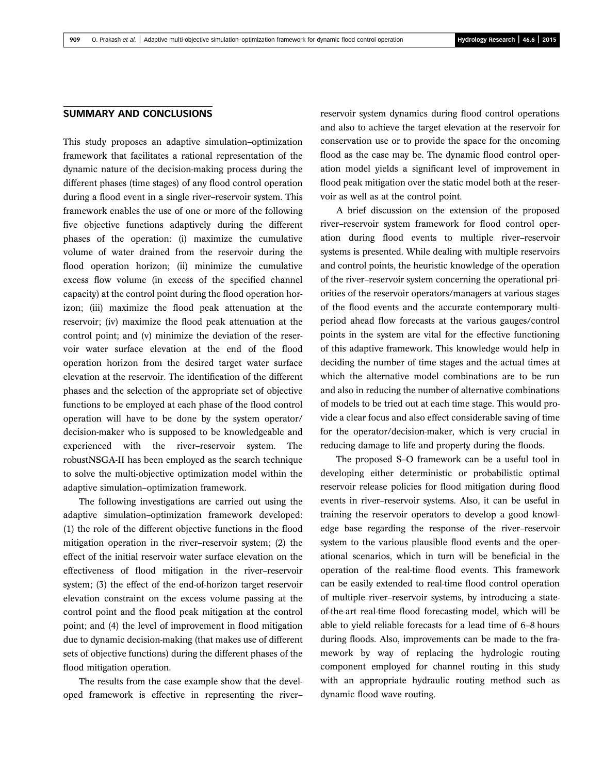### SUMMARY AND CONCLUSIONS

This study proposes an adaptive simulation–optimization framework that facilitates a rational representation of the dynamic nature of the decision-making process during the different phases (time stages) of any flood control operation during a flood event in a single river–reservoir system. This framework enables the use of one or more of the following five objective functions adaptively during the different phases of the operation: (i) maximize the cumulative volume of water drained from the reservoir during the flood operation horizon; (ii) minimize the cumulative excess flow volume (in excess of the specified channel capacity) at the control point during the flood operation horizon; (iii) maximize the flood peak attenuation at the reservoir; (iv) maximize the flood peak attenuation at the control point; and (v) minimize the deviation of the reservoir water surface elevation at the end of the flood operation horizon from the desired target water surface elevation at the reservoir. The identification of the different phases and the selection of the appropriate set of objective functions to be employed at each phase of the flood control operation will have to be done by the system operator/ decision-maker who is supposed to be knowledgeable and experienced with the river–reservoir system. The robustNSGA-II has been employed as the search technique to solve the multi-objective optimization model within the adaptive simulation–optimization framework.

The following investigations are carried out using the adaptive simulation–optimization framework developed: (1) the role of the different objective functions in the flood mitigation operation in the river–reservoir system; (2) the effect of the initial reservoir water surface elevation on the effectiveness of flood mitigation in the river–reservoir system; (3) the effect of the end-of-horizon target reservoir elevation constraint on the excess volume passing at the control point and the flood peak mitigation at the control point; and (4) the level of improvement in flood mitigation due to dynamic decision-making (that makes use of different sets of objective functions) during the different phases of the flood mitigation operation.

The results from the case example show that the developed framework is effective in representing the river–

reservoir system dynamics during flood control operations and also to achieve the target elevation at the reservoir for conservation use or to provide the space for the oncoming flood as the case may be. The dynamic flood control operation model yields a significant level of improvement in flood peak mitigation over the static model both at the reservoir as well as at the control point.

A brief discussion on the extension of the proposed river–reservoir system framework for flood control operation during flood events to multiple river–reservoir systems is presented. While dealing with multiple reservoirs and control points, the heuristic knowledge of the operation of the river–reservoir system concerning the operational priorities of the reservoir operators/managers at various stages of the flood events and the accurate contemporary multiperiod ahead flow forecasts at the various gauges/control points in the system are vital for the effective functioning of this adaptive framework. This knowledge would help in deciding the number of time stages and the actual times at which the alternative model combinations are to be run and also in reducing the number of alternative combinations of models to be tried out at each time stage. This would provide a clear focus and also effect considerable saving of time for the operator/decision-maker, which is very crucial in reducing damage to life and property during the floods.

The proposed S–O framework can be a useful tool in developing either deterministic or probabilistic optimal reservoir release policies for flood mitigation during flood events in river–reservoir systems. Also, it can be useful in training the reservoir operators to develop a good knowledge base regarding the response of the river–reservoir system to the various plausible flood events and the operational scenarios, which in turn will be beneficial in the operation of the real-time flood events. This framework can be easily extended to real-time flood control operation of multiple river–reservoir systems, by introducing a stateof-the-art real-time flood forecasting model, which will be able to yield reliable forecasts for a lead time of 6–8 hours during floods. Also, improvements can be made to the framework by way of replacing the hydrologic routing component employed for channel routing in this study with an appropriate hydraulic routing method such as dynamic flood wave routing.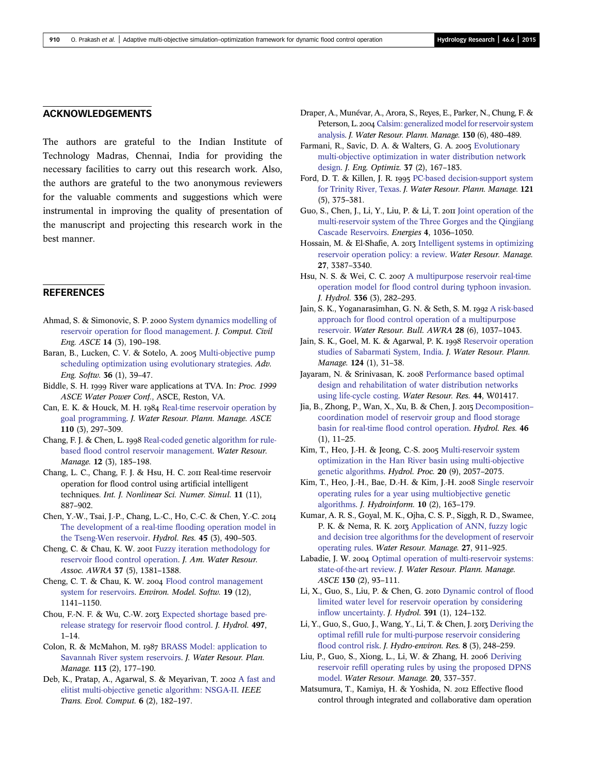### ACKNOWLEDGEMENTS

The authors are grateful to the Indian Institute of Technology Madras, Chennai, India for providing the necessary facilities to carry out this research work. Also, the authors are grateful to the two anonymous reviewers for the valuable comments and suggestions which were instrumental in improving the quality of presentation of the manuscript and projecting this research work in the best manner.

# **REFERENCES**

- Ahmad, S. & Simonovic, S. P. 2000 System dynamics modelling of reservoir operation for flood management. *J. Comput. Civil Eng. ASCE* 14 (3), 190–198.
- Baran, B., Lucken, C. V. & Sotelo, A. 2005 Multi-objective pump scheduling optimization using evolutionary strategies. *Adv. Eng. Softw.* 36 (1), 39–47.
- Biddle, S. H. 1999 River ware applications at TVA. In: *Proc. 1999 ASCE Water Power Conf.*, ASCE, Reston, VA.
- Can, E. K. & Houck, M. H. 1984 Real-time reservoir operation by goal programming. *J. Water Resour. Plann. Manage. ASCE* 110 (3), 297–309.
- Chang, F. J. & Chen, L. 1998 Real-coded genetic algorithm for rulebased flood control reservoir management. *Water Resour. Manage.* 12 (3), 185–198.
- Chang, L. C., Chang, F. J. & Hsu, H. C. 2011 Real-time reservoir operation for flood control using artificial intelligent techniques. *Int. J. Nonlinear Sci. Numer. Simul.* 11 (11), 887–902.
- Chen, Y.-W., Tsai, J.-P., Chang, L.-C., Ho, C.-C. & Chen, Y.-C. The development of a real-time flooding operation model in the Tseng-Wen reservoir. *Hydrol. Res.* 45 (3), 490–503.
- Cheng, C. & Chau, K. W. 2001 Fuzzy iteration methodology for reservoir flood control operation. *J. Am. Water Resour. Assoc. AWRA* 37 (5), 1381–1388.
- Cheng, C. T. & Chau, K. W. 2004 Flood control management system for reservoirs. *Environ. Model. Softw.* 19 (12), 1141–1150.
- Chou, F.-N. F. & Wu, C.-W. 2013 Expected shortage based prerelease strategy for reservoir flood control. *J. Hydrol.* 497, 1–14.
- Colon, R. & McMahon, M. 1987 BRASS Model: application to Savannah River system reservoirs. *J. Water Resour. Plan. Manage.* 113 (2), 177–190.
- Deb, K., Pratap, A., Agarwal, S. & Meyarivan, T. 2002 A fast and elitist multi-objective genetic algorithm: NSGA-II. *IEEE Trans. Evol. Comput.* 6 (2), 182–197.
- Draper, A., Munévar, A., Arora, S., Reyes, E., Parker, N., Chung, F. & Peterson, L. 2004 Calsim: generalized model for reservoir system analysis. *J. Water Resour. Plann. Manage.* 130 (6), 480–489.
- Farmani, R., Savic, D. A. & Walters, G. A. 2005 Evolutionary multi-objective optimization in water distribution network design. *J. Eng. Optimiz.* 37 (2), 167–183.
- Ford, D. T. & Killen, J. R. 1995 PC-based decision-support system for Trinity River, Texas. *J. Water Resour. Plann. Manage.* 121 (5), 375–381.
- Guo, S., Chen, J., Li, Y., Liu, P. & Li, T. 2011 Joint operation of the multi-reservoir system of the Three Gorges and the Qingjiang Cascade Reservoirs. *Energies* 4, 1036–1050.
- Hossain, M. & El-Shafie, A. 2013 Intelligent systems in optimizing reservoir operation policy: a review. *Water Resour. Manage.* 27, 3387–3340.
- Hsu, N. S. & Wei, C. C. 2007 A multipurpose reservoir real-time operation model for flood control during typhoon invasion. *J. Hydrol.* 336 (3), 282–293.
- Jain, S. K., Yoganarasimhan, G. N. & Seth, S. M. 1992 A risk-based approach for flood control operation of a multipurpose reservoir. *Water Resour. Bull. AWRA* 28 (6), 1037–1043.
- Jain, S. K., Goel, M. K. & Agarwal, P. K. 1998 Reservoir operation studies of Sabarmati System, India. *J. Water Resour. Plann. Manage.* 124 (1), 31–38.
- Jayaram, N. & Srinivasan, K. 2008 Performance based optimal design and rehabilitation of water distribution networks using life-cycle costing. *Water Resour. Res.* 44, W01417.
- Jia, B., Zhong, P., Wan, X., Xu, B. & Chen, J. 2015 Decompositioncoordination model of reservoir group and flood storage basin for real-time flood control operation. *Hydrol. Res.* 46 (1), 11–25.
- Kim, T., Heo, J.-H. & Jeong, C.-S. 2005 Multi-reservoir system optimization in the Han River basin using multi-objective genetic algorithms. *Hydrol. Proc.* 20 (9), 2057–2075.
- Kim, T., Heo, J.-H., Bae, D.-H. & Kim, J.-H. 2008 Single reservoir operating rules for a year using multiobjective genetic algorithms. *J. Hydroinform.* 10 (2), 163–179.
- Kumar, A. R. S., Goyal, M. K., Ojha, C. S. P., Siggh, R. D., Swamee, P. K. & Nema, R. K. 2013 Application of ANN, fuzzy logic and decision tree algorithms for the development of reservoir operating rules. *Water Resour. Manage.* 27, 911–925.
- Labadie, J. W. 2004 Optimal operation of multi-reservoir systems: state-of-the-art review. *J. Water Resour. Plann. Manage. ASCE* 130 (2), 93–111.
- Li, X., Guo, S., Liu, P. & Chen, G. 2010 Dynamic control of flood limited water level for reservoir operation by considering inflow uncertainty. *J. Hydrol.* 391 (1), 124–132.
- Li, Y., Guo, S., Guo, J., Wang, Y., Li, T. & Chen, J. 2013 Deriving the optimal refill rule for multi-purpose reservoir considering flood control risk. *J. Hydro-environ. Res.* 8 (3), 248–259.
- Liu, P., Guo, S., Xiong, L., Li, W. & Zhang, H. 2006 Deriving reservoir refill operating rules by using the proposed DPNS model. *Water Resour. Manage.* 20, 337–357.
- Matsumura, T., Kamiya, H. & Yoshida, N. 2012 Effective flood control through integrated and collaborative dam operation